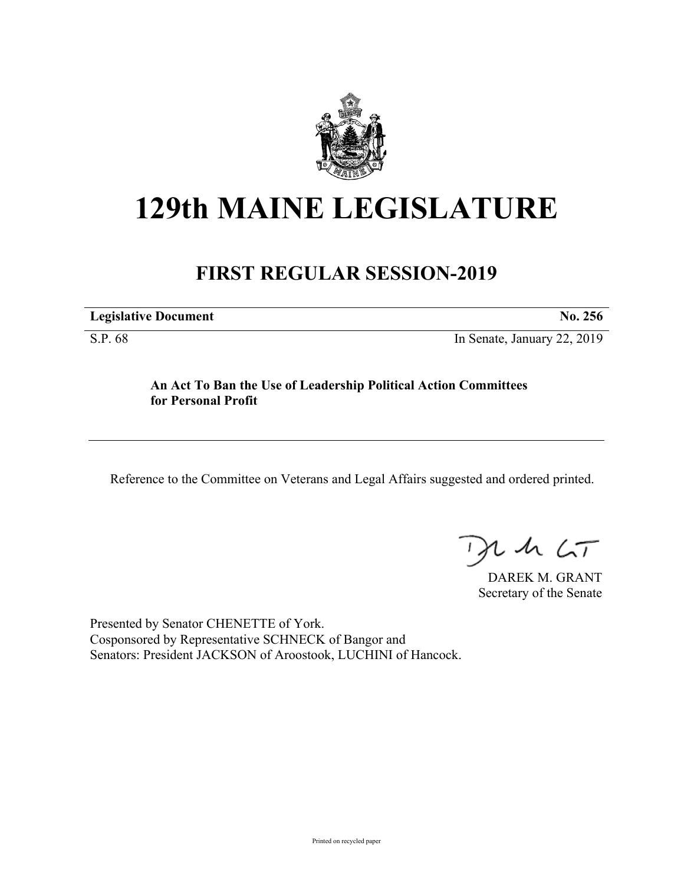

# **129th MAINE LEGISLATURE**

## **FIRST REGULAR SESSION-2019**

**Legislative Document No. 256**

S.P. 68 In Senate, January 22, 2019

**An Act To Ban the Use of Leadership Political Action Committees for Personal Profit**

Reference to the Committee on Veterans and Legal Affairs suggested and ordered printed.

 $125$ 

DAREK M. GRANT Secretary of the Senate

Presented by Senator CHENETTE of York. Cosponsored by Representative SCHNECK of Bangor and Senators: President JACKSON of Aroostook, LUCHINI of Hancock.